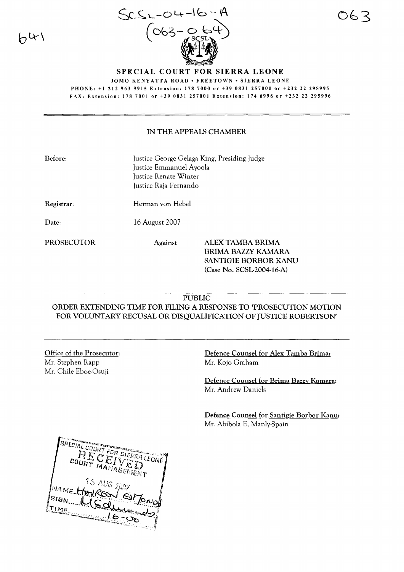$\Theta$ 4



## SPECIAL COURT FOR SIERRA LEONE JOMO KENYATTA ROAD · FREETOWN · SIERRA LEONE PHONE: +1212963 9915 Extension: 1787000 or +39 0831257000 or +232 22 295995 FAX: Extension: 1787001 or +39 0831257001 Extension: 1746996 or +232 22 295996

## IN THE APPEALS CHAMBER

| Before: .  | Justice George Gelaga King, Presiding Judge<br>Justice Emmanuel Ayoola<br>Justice Renate Winter<br>Justice Raja Fernando |
|------------|--------------------------------------------------------------------------------------------------------------------------|
| Registrar: | Herman von Hebel                                                                                                         |

Date: 16 August 2007

PROSECUTOR Against ALEX TAMBA BRIMA BRIMA BAZZY KAMARA SANTIGlE BORBOR KANU (Case No. SCSL-2004-16-A)

## PUBLIC

ORDER EXTENDING TIME FOR FILING A RESPONSE TO 'PROSECUTION MOTION FOR VOLUNTARY RECUSAL OR DISQUALIFICATION OF JUSTICE ROBERTSON'

## Office of the Prosecutor: Mr. Stephen Rapp Mr. Chile Eboe-Osuji

Defence Counsel for Alex Tamba Brima: Mr. Kojo Graham

Defence Counsel for Brima Bazzy Kamara: Mr. Andrew Daniels

Defence Counsel for Santigie Borbor Kanu: Mr. Abibola E. Manly-Spain